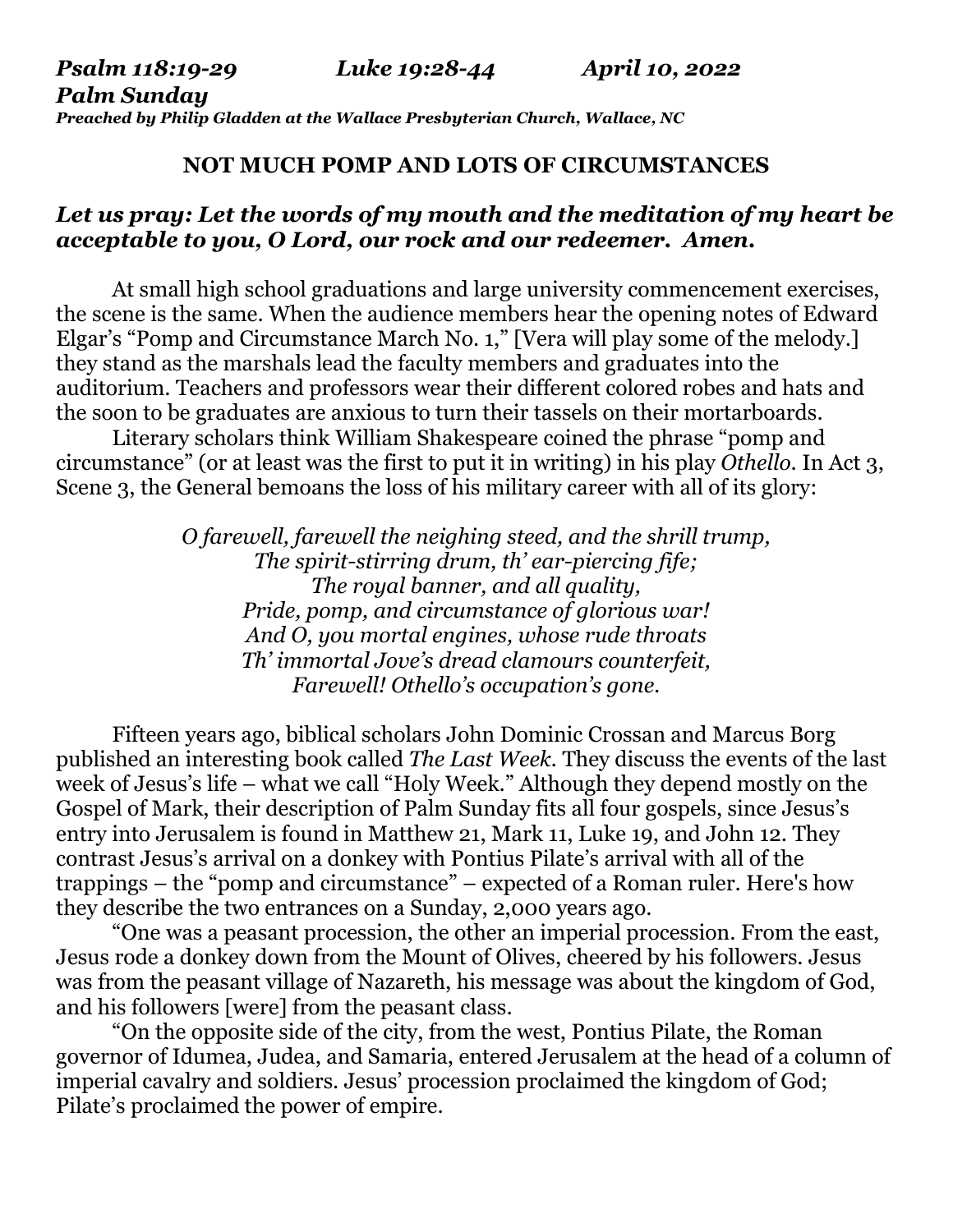*Psalm 118:19-29 Luke 19:28-44 April 10, 2022 Palm Sunday Preached by Philip Gladden at the Wallace Presbyterian Church, Wallace, NC* 

## **NOT MUCH POMP AND LOTS OF CIRCUMSTANCES**

## *Let us pray: Let the words of my mouth and the meditation of my heart be acceptable to you, O Lord, our rock and our redeemer. Amen.*

At small high school graduations and large university commencement exercises, the scene is the same. When the audience members hear the opening notes of Edward Elgar's "Pomp and Circumstance March No. 1," [Vera will play some of the melody.] they stand as the marshals lead the faculty members and graduates into the auditorium. Teachers and professors wear their different colored robes and hats and the soon to be graduates are anxious to turn their tassels on their mortarboards.

 Literary scholars think William Shakespeare coined the phrase "pomp and circumstance" (or at least was the first to put it in writing) in his play *Othello*. In Act 3, Scene 3, the General bemoans the loss of his military career with all of its glory:

> *O farewell, farewell the neighing steed, and the shrill trump, The spirit-stirring drum, th' ear-piercing fife; The royal banner, and all quality, Pride, pomp, and circumstance of glorious war! And O, you mortal engines, whose rude throats Th' immortal Jove's dread clamours counterfeit, Farewell! Othello's occupation's gone.*

 Fifteen years ago, biblical scholars John Dominic Crossan and Marcus Borg published an interesting book called *The Last Week.* They discuss the events of the last week of Jesus's life – what we call "Holy Week." Although they depend mostly on the Gospel of Mark, their description of Palm Sunday fits all four gospels, since Jesus's entry into Jerusalem is found in Matthew 21, Mark 11, Luke 19, and John 12. They contrast Jesus's arrival on a donkey with Pontius Pilate's arrival with all of the trappings – the "pomp and circumstance" – expected of a Roman ruler. Here's how they describe the two entrances on a Sunday, 2,000 years ago.

"One was a peasant procession, the other an imperial procession. From the east, Jesus rode a donkey down from the Mount of Olives, cheered by his followers. Jesus was from the peasant village of Nazareth, his message was about the kingdom of God, and his followers [were] from the peasant class.

 "On the opposite side of the city, from the west, Pontius Pilate, the Roman governor of Idumea, Judea, and Samaria, entered Jerusalem at the head of a column of imperial cavalry and soldiers. Jesus' procession proclaimed the kingdom of God; Pilate's proclaimed the power of empire.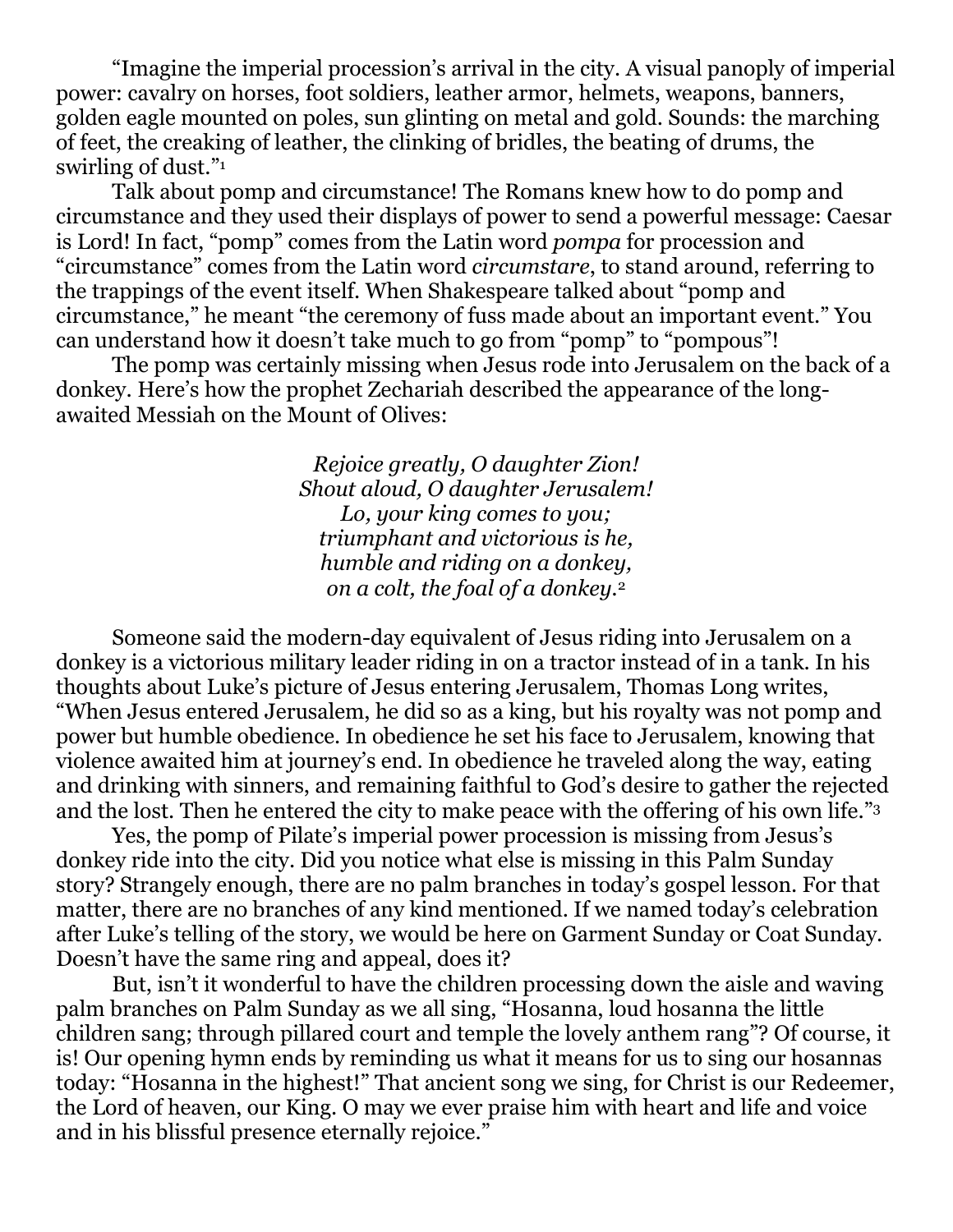"Imagine the imperial procession's arrival in the city. A visual panoply of imperial power: cavalry on horses, foot soldiers, leather armor, helmets, weapons, banners, golden eagle mounted on poles, sun glinting on metal and gold. Sounds: the marching of feet, the creaking of leather, the clinking of bridles, the beating of drums, the swirling of dust."<sup>1</sup>

 Talk about pomp and circumstance! The Romans knew how to do pomp and circumstance and they used their displays of power to send a powerful message: Caesar is Lord! In fact, "pomp" comes from the Latin word *pompa* for procession and "circumstance" comes from the Latin word *circumstare*, to stand around, referring to the trappings of the event itself. When Shakespeare talked about "pomp and circumstance," he meant "the ceremony of fuss made about an important event." You can understand how it doesn't take much to go from "pomp" to "pompous"!

 The pomp was certainly missing when Jesus rode into Jerusalem on the back of a donkey. Here's how the prophet Zechariah described the appearance of the longawaited Messiah on the Mount of Olives:

> *Rejoice greatly, O daughter Zion! Shout aloud, O daughter Jerusalem! Lo, your king comes to you; triumphant and victorious is he, humble and riding on a donkey, on a colt, the foal of a donkey.*<sup>2</sup>

 Someone said the modern-day equivalent of Jesus riding into Jerusalem on a donkey is a victorious military leader riding in on a tractor instead of in a tank. In his thoughts about Luke's picture of Jesus entering Jerusalem, Thomas Long writes, "When Jesus entered Jerusalem, he did so as a king, but his royalty was not pomp and power but humble obedience. In obedience he set his face to Jerusalem, knowing that violence awaited him at journey's end. In obedience he traveled along the way, eating and drinking with sinners, and remaining faithful to God's desire to gather the rejected and the lost. Then he entered the city to make peace with the offering of his own life."<sup>3</sup>

 Yes, the pomp of Pilate's imperial power procession is missing from Jesus's donkey ride into the city. Did you notice what else is missing in this Palm Sunday story? Strangely enough, there are no palm branches in today's gospel lesson. For that matter, there are no branches of any kind mentioned. If we named today's celebration after Luke's telling of the story, we would be here on Garment Sunday or Coat Sunday. Doesn't have the same ring and appeal, does it?

 But, isn't it wonderful to have the children processing down the aisle and waving palm branches on Palm Sunday as we all sing, "Hosanna, loud hosanna the little children sang; through pillared court and temple the lovely anthem rang"? Of course, it is! Our opening hymn ends by reminding us what it means for us to sing our hosannas today: "Hosanna in the highest!" That ancient song we sing, for Christ is our Redeemer, the Lord of heaven, our King. O may we ever praise him with heart and life and voice and in his blissful presence eternally rejoice."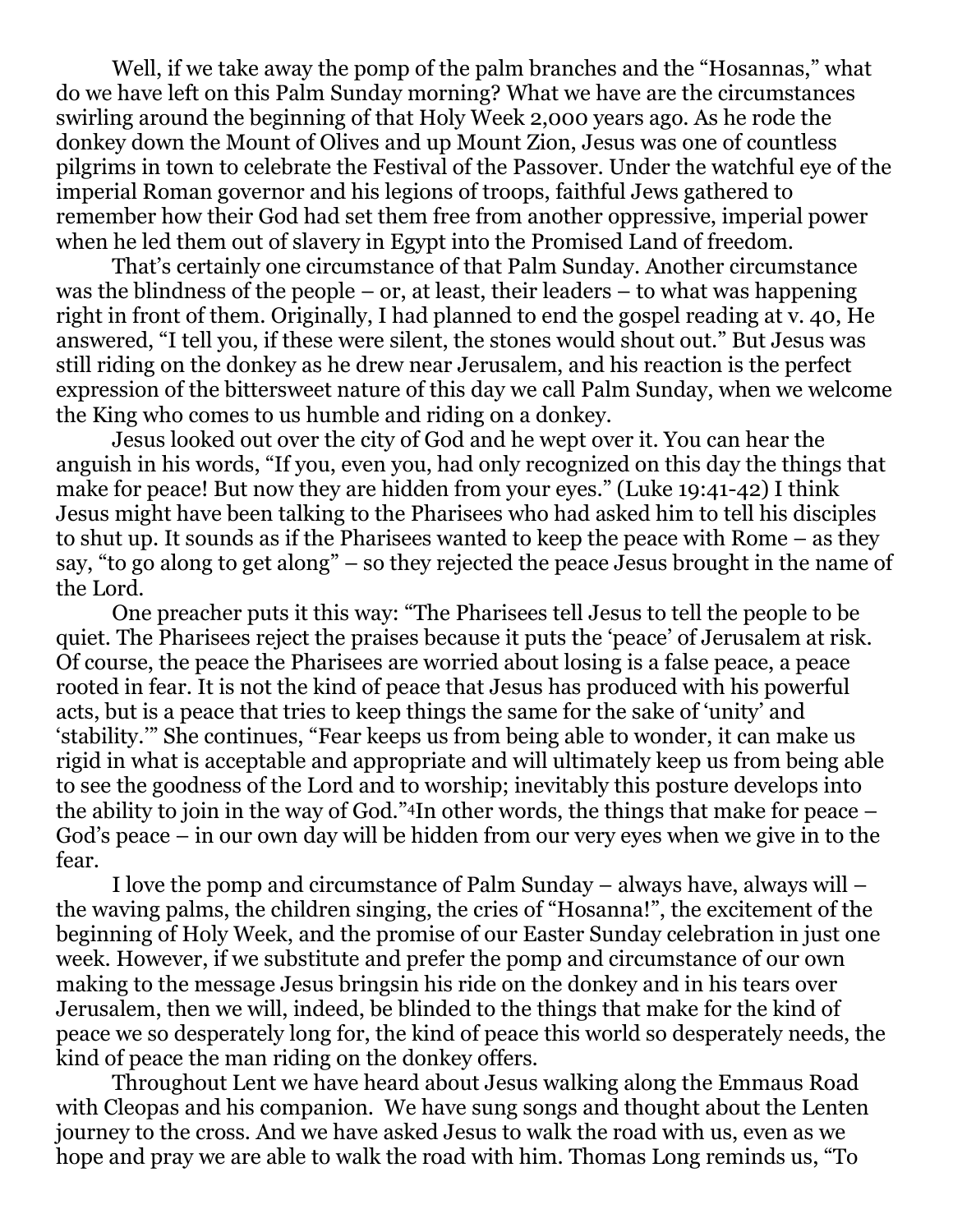Well, if we take away the pomp of the palm branches and the "Hosannas," what do we have left on this Palm Sunday morning? What we have are the circumstances swirling around the beginning of that Holy Week 2,000 years ago. As he rode the donkey down the Mount of Olives and up Mount Zion, Jesus was one of countless pilgrims in town to celebrate the Festival of the Passover. Under the watchful eye of the imperial Roman governor and his legions of troops, faithful Jews gathered to remember how their God had set them free from another oppressive, imperial power when he led them out of slavery in Egypt into the Promised Land of freedom.

 That's certainly one circumstance of that Palm Sunday. Another circumstance was the blindness of the people – or, at least, their leaders – to what was happening right in front of them. Originally, I had planned to end the gospel reading at v. 40, He answered, "I tell you, if these were silent, the stones would shout out." But Jesus was still riding on the donkey as he drew near Jerusalem, and his reaction is the perfect expression of the bittersweet nature of this day we call Palm Sunday, when we welcome the King who comes to us humble and riding on a donkey.

 Jesus looked out over the city of God and he wept over it. You can hear the anguish in his words, "If you, even you, had only recognized on this day the things that make for peace! But now they are hidden from your eyes." (Luke 19:41-42) I think Jesus might have been talking to the Pharisees who had asked him to tell his disciples to shut up. It sounds as if the Pharisees wanted to keep the peace with Rome – as they say, "to go along to get along" – so they rejected the peace Jesus brought in the name of the Lord.

 One preacher puts it this way: "The Pharisees tell Jesus to tell the people to be quiet. The Pharisees reject the praises because it puts the 'peace' of Jerusalem at risk. Of course, the peace the Pharisees are worried about losing is a false peace, a peace rooted in fear. It is not the kind of peace that Jesus has produced with his powerful acts, but is a peace that tries to keep things the same for the sake of 'unity' and 'stability.'" She continues, "Fear keeps us from being able to wonder, it can make us rigid in what is acceptable and appropriate and will ultimately keep us from being able to see the goodness of the Lord and to worship; inevitably this posture develops into the ability to join in the way of God."4In other words, the things that make for peace – God's peace – in our own day will be hidden from our very eyes when we give in to the fear.

 I love the pomp and circumstance of Palm Sunday – always have, always will – the waving palms, the children singing, the cries of "Hosanna!", the excitement of the beginning of Holy Week, and the promise of our Easter Sunday celebration in just one week. However, if we substitute and prefer the pomp and circumstance of our own making to the message Jesus bringsin his ride on the donkey and in his tears over Jerusalem, then we will, indeed, be blinded to the things that make for the kind of peace we so desperately long for, the kind of peace this world so desperately needs, the kind of peace the man riding on the donkey offers.

 Throughout Lent we have heard about Jesus walking along the Emmaus Road with Cleopas and his companion. We have sung songs and thought about the Lenten journey to the cross. And we have asked Jesus to walk the road with us, even as we hope and pray we are able to walk the road with him. Thomas Long reminds us, "To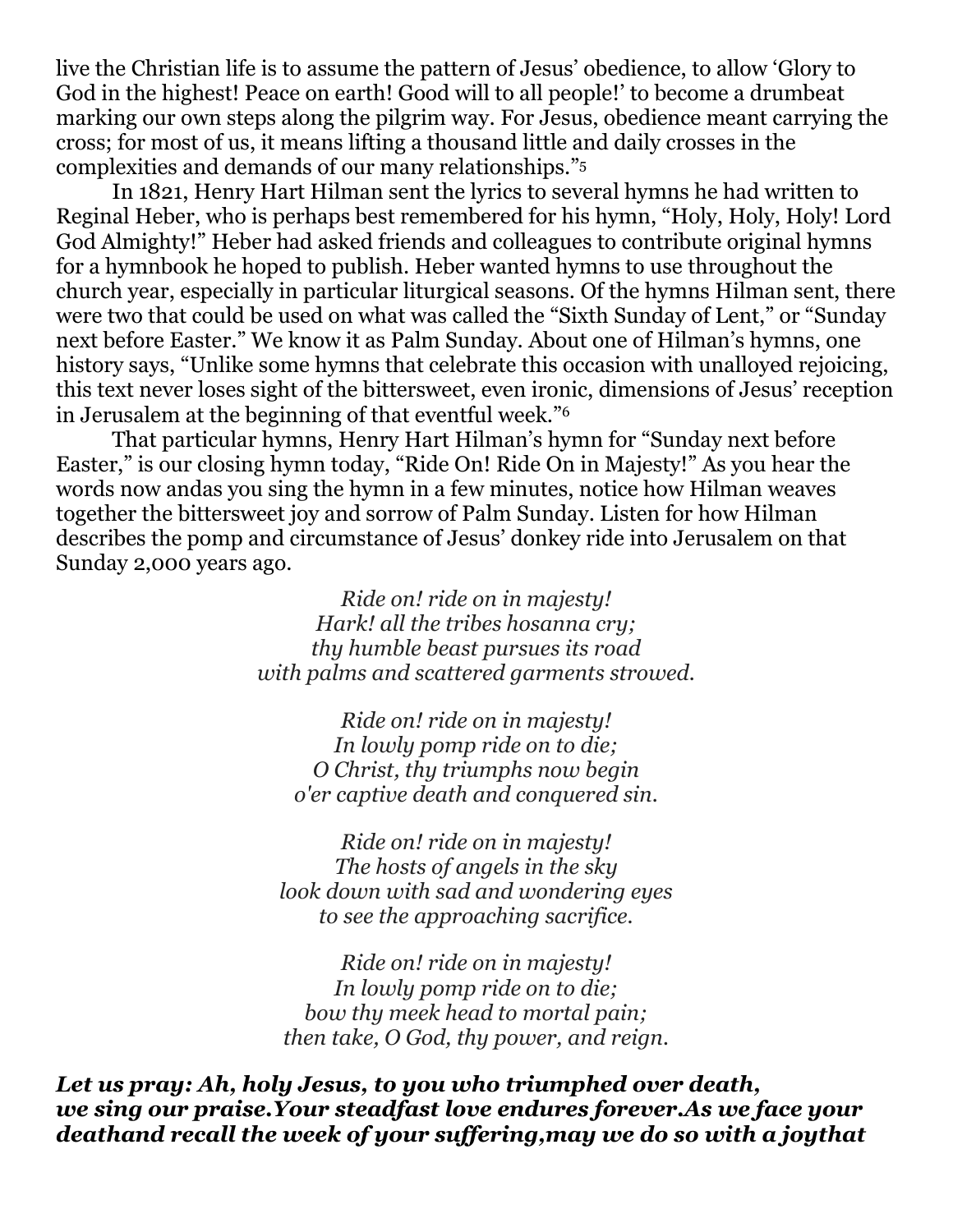live the Christian life is to assume the pattern of Jesus' obedience, to allow 'Glory to God in the highest! Peace on earth! Good will to all people!' to become a drumbeat marking our own steps along the pilgrim way. For Jesus, obedience meant carrying the cross; for most of us, it means lifting a thousand little and daily crosses in the complexities and demands of our many relationships." 5

 In 1821, Henry Hart Hilman sent the lyrics to several hymns he had written to Reginal Heber, who is perhaps best remembered for his hymn, "Holy, Holy, Holy! Lord God Almighty!" Heber had asked friends and colleagues to contribute original hymns for a hymnbook he hoped to publish. Heber wanted hymns to use throughout the church year, especially in particular liturgical seasons. Of the hymns Hilman sent, there were two that could be used on what was called the "Sixth Sunday of Lent," or "Sunday next before Easter." We know it as Palm Sunday. About one of Hilman's hymns, one history says, "Unlike some hymns that celebrate this occasion with unalloyed rejoicing, this text never loses sight of the bittersweet, even ironic, dimensions of Jesus' reception in Jerusalem at the beginning of that eventful week."<sup>6</sup>

 That particular hymns, Henry Hart Hilman's hymn for "Sunday next before Easter," is our closing hymn today, "Ride On! Ride On in Majesty!" As you hear the words now andas you sing the hymn in a few minutes, notice how Hilman weaves together the bittersweet joy and sorrow of Palm Sunday. Listen for how Hilman describes the pomp and circumstance of Jesus' donkey ride into Jerusalem on that Sunday 2,000 years ago.

> *Ride on! ride on in majesty! Hark! all the tribes hosanna cry; thy humble beast pursues its road with palms and scattered garments strowed.*

*Ride on! ride on in majesty! In lowly pomp ride on to die; O Christ, thy triumphs now begin o'er captive death and conquered sin.* 

*Ride on! ride on in majesty! The hosts of angels in the sky look down with sad and wondering eyes to see the approaching sacrifice.* 

*Ride on! ride on in majesty! In lowly pomp ride on to die; bow thy meek head to mortal pain; then take, O God, thy power, and reign.* 

*Let us pray: Ah, holy Jesus, to you who triumphed over death, we sing our praise.Your steadfast love endures forever.As we face your deathand recall the week of your suffering,may we do so with a joythat*